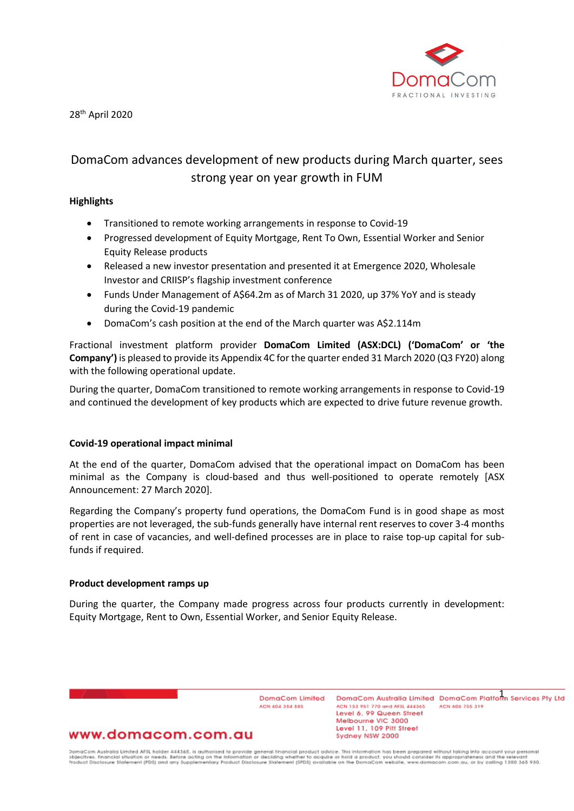

28th April 2020

# DomaCom advances development of new products during March quarter, sees strong year on year growth in FUM

### **Highlights**

- Transitioned to remote working arrangements in response to Covid-19
- Progressed development of Equity Mortgage, Rent To Own, Essential Worker and Senior Equity Release products
- Released a new investor presentation and presented it at Emergence 2020, Wholesale Investor and CRIISP's flagship investment conference
- Funds Under Management of A\$64.2m as of March 31 2020, up 37% YoY and is steady during the Covid-19 pandemic
- DomaCom's cash position at the end of the March quarter was A\$2.114m

Fractional investment platform provider **DomaCom Limited (ASX:DCL) ('DomaCom' or 'the Company')** is pleased to provide its Appendix 4C for the quarter ended 31 March 2020 (Q3 FY20) along with the following operational update.

During the quarter, DomaCom transitioned to remote working arrangements in response to Covid-19 and continued the development of key products which are expected to drive future revenue growth.

### **Covid-19 operational impact minimal**

At the end of the quarter, DomaCom advised that the operational impact on DomaCom has been minimal as the Company is cloud-based and thus well-positioned to operate remotely [ASX Announcement: 27 March 2020].

Regarding the Company's property fund operations, the DomaCom Fund is in good shape as most properties are not leveraged, the sub-funds generally have internal rent reserves to cover 3-4 months of rent in case of vacancies, and well-defined processes are in place to raise top-up capital for subfunds if required.

#### **Product development ramps up**

During the quarter, the Company made progress across four products currently in development: Equity Mortgage, Rent to Own, Essential Worker, and Senior Equity Release.

> DomaCom Limited ACN 604 354 565

DomaCom Australia Limited DomaCom Platform Services Pty Ltd ACN 153 951 770 and AFSL 444365 ACN 606 755 319 Level 6, 99 Queen Street Melbourne VIC 3000 Level 11, 109 Pitt Street Sydney NSW 2000

## www.domacom.com.au

DomaCom Australia Limited AFSL holder 444365, is authorised to provide general financial product advice. This information has been prepared without laking into account your personal<br>objectives, financial situation or need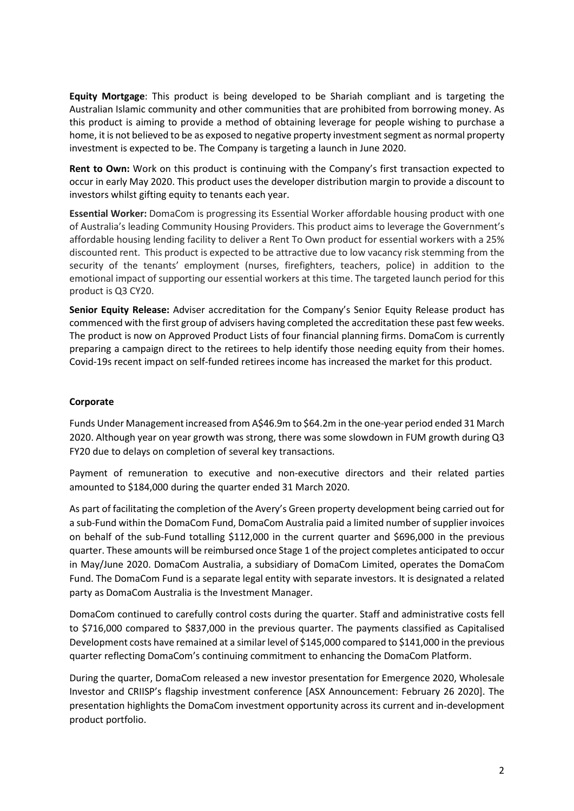**Equity Mortgage**: This product is being developed to be Shariah compliant and is targeting the Australian Islamic community and other communities that are prohibited from borrowing money. As this product is aiming to provide a method of obtaining leverage for people wishing to purchase a home, it is not believed to be as exposed to negative property investment segment as normal property investment is expected to be. The Company is targeting a launch in June 2020.

**Rent to Own:** Work on this product is continuing with the Company's first transaction expected to occur in early May 2020. This product uses the developer distribution margin to provide a discount to investors whilst gifting equity to tenants each year.

**Essential Worker:** DomaCom is progressing its Essential Worker affordable housing product with one of Australia's leading Community Housing Providers. This product aims to leverage the Government's affordable housing lending facility to deliver a Rent To Own product for essential workers with a 25% discounted rent. This product is expected to be attractive due to low vacancy risk stemming from the security of the tenants' employment (nurses, firefighters, teachers, police) in addition to the emotional impact of supporting our essential workers at this time. The targeted launch period for this product is Q3 CY20.

**Senior Equity Release:** Adviser accreditation for the Company's Senior Equity Release product has commenced with the first group of advisers having completed the accreditation these past few weeks. The product is now on Approved Product Lists of four financial planning firms. DomaCom is currently preparing a campaign direct to the retirees to help identify those needing equity from their homes. Covid-19s recent impact on self-funded retirees income has increased the market for this product.

## **Corporate**

Funds Under Management increased from A\$46.9m to \$64.2m in the one-year period ended 31 March 2020. Although year on year growth was strong, there was some slowdown in FUM growth during Q3 FY20 due to delays on completion of several key transactions.

Payment of remuneration to executive and non-executive directors and their related parties amounted to \$184,000 during the quarter ended 31 March 2020.

As part of facilitating the completion of the Avery's Green property development being carried out for a sub-Fund within the DomaCom Fund, DomaCom Australia paid a limited number of supplier invoices on behalf of the sub-Fund totalling \$112,000 in the current quarter and \$696,000 in the previous quarter. These amounts will be reimbursed once Stage 1 of the project completes anticipated to occur in May/June 2020. DomaCom Australia, a subsidiary of DomaCom Limited, operates the DomaCom Fund. The DomaCom Fund is a separate legal entity with separate investors. It is designated a related party as DomaCom Australia is the Investment Manager.

DomaCom continued to carefully control costs during the quarter. Staff and administrative costs fell to \$716,000 compared to \$837,000 in the previous quarter. The payments classified as Capitalised Development costs have remained at a similar level of \$145,000 compared to \$141,000 in the previous quarter reflecting DomaCom's continuing commitment to enhancing the DomaCom Platform.

During the quarter, DomaCom released a new investor presentation for Emergence 2020, Wholesale Investor and CRIISP's flagship investment conference [ASX Announcement: February 26 2020]. The presentation highlights the DomaCom investment opportunity across its current and in-development product portfolio.